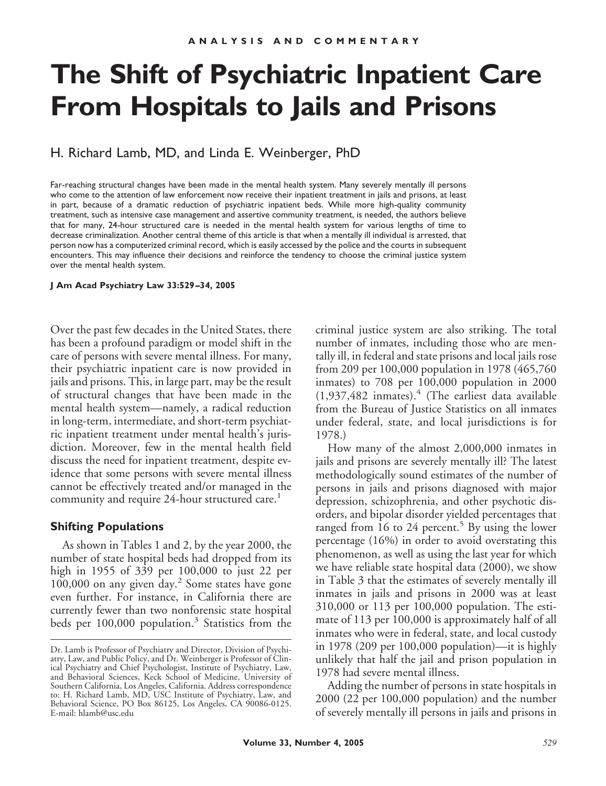# **The Shift of Psychiatric Inpatient Care From Hospitals to Jails and Prisons**

H. Richard Lamb, MD, and Linda E. Weinberger, PhD

Far-reaching structural changes have been made in the mental health system. Many severely mentally ill persons who come to the attention of law enforcement now receive their inpatient treatment in jails and prisons, at least in part, because of a dramatic reduction of psychiatric inpatient beds. While more high-quality community treatment, such as intensive case management and assertive community treatment, is needed, the authors believe that for many, 24-hour structured care is needed in the mental health system for various lengths of time to decrease criminalization. Another central theme of this article is that when a mentally ill individual is arrested, that person now has a computerized criminal record, which is easily accessed by the police and the courts in subsequent encounters. This may influence their decisions and reinforce the tendency to choose the criminal justice system over the mental health system.

#### **J Am Acad Psychiatry Law 33:529 –34, 2005**

Over the past few decades in the United States, there has been a profound paradigm or model shift in the care of persons with severe mental illness. For many, their psychiatric inpatient care is now provided in jails and prisons. This, in large part, may be the result of structural changes that have been made in the mental health system—namely, a radical reduction in long-term, intermediate, and short-term psychiatric inpatient treatment under mental health's jurisdiction. Moreover, few in the mental health field discuss the need for inpatient treatment, despite evidence that some persons with severe mental illness cannot be effectively treated and/or managed in the community and require 24-hour structured care.<sup>1</sup>

#### **Shifting Populations**

As shown in Tables 1 and 2, by the year 2000, the number of state hospital beds had dropped from its high in 1955 of 339 per 100,000 to just 22 per 100,000 on any given day.<sup>2</sup> Some states have gone even further. For instance, in California there are currently fewer than two nonforensic state hospital beds per 100,000 population.<sup>3</sup> Statistics from the criminal justice system are also striking. The total number of inmates, including those who are mentally ill, in federal and state prisons and local jails rose from 209 per 100,000 population in 1978 (465,760 inmates) to 708 per 100,000 population in 2000  $(1,937,482$  inmates).<sup>4</sup> (The earliest data available from the Bureau of Justice Statistics on all inmates under federal, state, and local jurisdictions is for 1978.)

How many of the almost 2,000,000 inmates in jails and prisons are severely mentally ill? The latest methodologically sound estimates of the number of persons in jails and prisons diagnosed with major depression, schizophrenia, and other psychotic disorders, and bipolar disorder yielded percentages that ranged from 16 to 24 percent.<sup>5</sup> By using the lower percentage (16%) in order to avoid overstating this phenomenon, as well as using the last year for which we have reliable state hospital data (2000), we show in Table 3 that the estimates of severely mentally ill inmates in jails and prisons in 2000 was at least 310,000 or 113 per 100,000 population. The estimate of 113 per 100,000 is approximately half of all inmates who were in federal, state, and local custody in 1978 (209 per 100,000 population)—it is highly unlikely that half the jail and prison population in 1978 had severe mental illness.

Adding the number of persons in state hospitals in 2000 (22 per 100,000 population) and the number of severely mentally ill persons in jails and prisons in

Dr. Lamb is Professor of Psychiatry and Director, Division of Psychiatry, Law, and Public Policy, and Dr. Weinberger is Professor of Clinical Psychiatry and Chief Psychologist, Institute of Psychiatry, Law, and Behavioral Sciences, Keck School of Medicine, University of Southern California, Los Angeles, California. Address correspondence to: H. Richard Lamb, MD, USC Institute of Psychiatry, Law, and Behavioral Science, PO Box 86125, Los Angeles, CA 90086-0125. E-mail: hlamb@usc.edu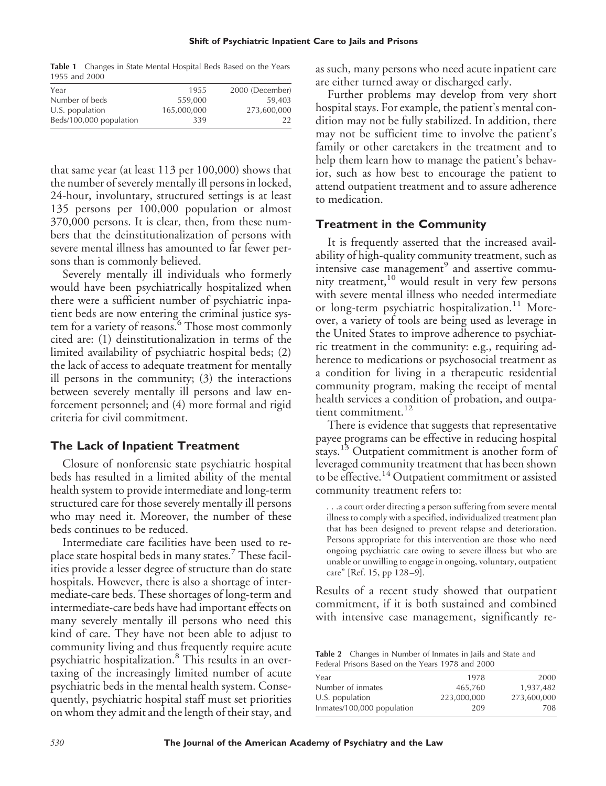**Table 1** Changes in State Mental Hospital Beds Based on the Years 1955 and 2000

| Year                    | 1955        | 2000 (December) |
|-------------------------|-------------|-----------------|
| Number of beds          | 559,000     | 59,403          |
| U.S. population         | 165,000,000 | 273,600,000     |
| Beds/100,000 population | 339         | 22              |
|                         |             |                 |

that same year (at least 113 per 100,000) shows that the number of severely mentally ill persons in locked, 24-hour, involuntary, structured settings is at least 135 persons per 100,000 population or almost 370,000 persons. It is clear, then, from these numbers that the deinstitutionalization of persons with severe mental illness has amounted to far fewer persons than is commonly believed.

Severely mentally ill individuals who formerly would have been psychiatrically hospitalized when there were a sufficient number of psychiatric inpatient beds are now entering the criminal justice system for a variety of reasons.<sup>6</sup> Those most commonly cited are: (1) deinstitutionalization in terms of the limited availability of psychiatric hospital beds; (2) the lack of access to adequate treatment for mentally ill persons in the community; (3) the interactions between severely mentally ill persons and law enforcement personnel; and (4) more formal and rigid criteria for civil commitment.

## **The Lack of Inpatient Treatment**

Closure of nonforensic state psychiatric hospital beds has resulted in a limited ability of the mental health system to provide intermediate and long-term structured care for those severely mentally ill persons who may need it. Moreover, the number of these beds continues to be reduced.

Intermediate care facilities have been used to replace state hospital beds in many states.<sup>7</sup> These facilities provide a lesser degree of structure than do state hospitals. However, there is also a shortage of intermediate-care beds. These shortages of long-term and intermediate-care beds have had important effects on many severely mentally ill persons who need this kind of care. They have not been able to adjust to community living and thus frequently require acute psychiatric hospitalization.<sup>8</sup> This results in an overtaxing of the increasingly limited number of acute psychiatric beds in the mental health system. Consequently, psychiatric hospital staff must set priorities on whom they admit and the length of their stay, and as such, many persons who need acute inpatient care are either turned away or discharged early.

Further problems may develop from very short hospital stays. For example, the patient's mental condition may not be fully stabilized. In addition, there may not be sufficient time to involve the patient's family or other caretakers in the treatment and to help them learn how to manage the patient's behavior, such as how best to encourage the patient to attend outpatient treatment and to assure adherence to medication.

# **Treatment in the Community**

It is frequently asserted that the increased availability of high-quality community treatment, such as intensive case management $<sup>9</sup>$  and assertive commu-</sup> nity treatment,<sup>10</sup> would result in very few persons with severe mental illness who needed intermediate or long-term psychiatric hospitalization.<sup>11</sup> Moreover, a variety of tools are being used as leverage in the United States to improve adherence to psychiatric treatment in the community: e.g., requiring adherence to medications or psychosocial treatment as a condition for living in a therapeutic residential community program, making the receipt of mental health services a condition of probation, and outpatient commitment.<sup>12</sup>

There is evidence that suggests that representative payee programs can be effective in reducing hospital stays.<sup>13</sup> Outpatient commitment is another form of leveraged community treatment that has been shown to be effective.<sup>14</sup> Outpatient commitment or assisted community treatment refers to:

. . .a court order directing a person suffering from severe mental illness to comply with a specified, individualized treatment plan that has been designed to prevent relapse and deterioration. Persons appropriate for this intervention are those who need ongoing psychiatric care owing to severe illness but who are unable or unwilling to engage in ongoing, voluntary, outpatient care" [Ref. 15, pp 128 –9].

Results of a recent study showed that outpatient commitment, if it is both sustained and combined with intensive case management, significantly re-

**Table 2** Changes in Number of Inmates in Jails and State and Federal Prisons Based on the Years 1978 and 2000

| Year                       | 1978        | 2000        |
|----------------------------|-------------|-------------|
| Number of inmates          | 465.760     | 1,937,482   |
| $U.S.$ population          | 223,000,000 | 273,600,000 |
| Inmates/100,000 population | 209         | 708         |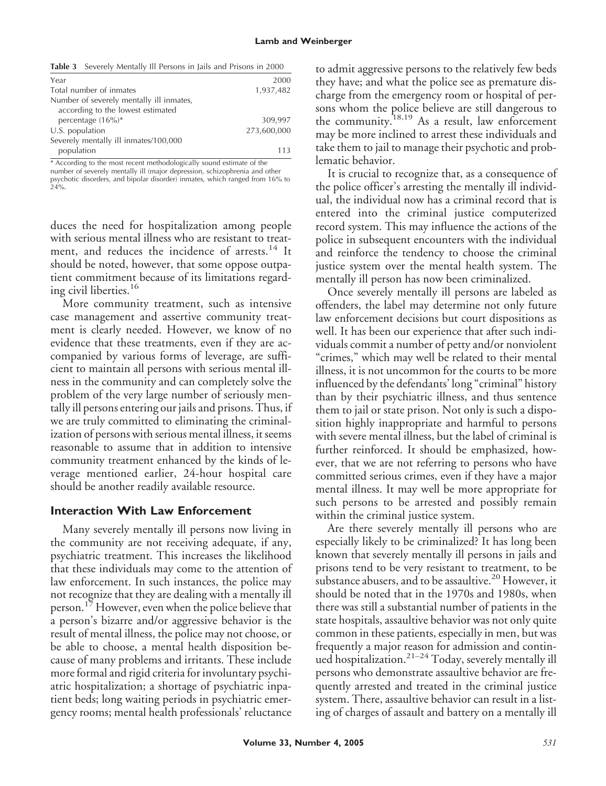|  | <b>Table 3</b> Severely Mentally Ill Persons in Jails and Prisons in 2000 |  |  |  |  |  |  |  |  |  |  |
|--|---------------------------------------------------------------------------|--|--|--|--|--|--|--|--|--|--|
|--|---------------------------------------------------------------------------|--|--|--|--|--|--|--|--|--|--|

| Year                                     | 2000        |
|------------------------------------------|-------------|
| Total number of inmates                  | 1,937,482   |
| Number of severely mentally ill inmates, |             |
| according to the lowest estimated        |             |
| percentage $(16\%)^*$                    | 309,997     |
| U.S. population                          | 273,600,000 |
| Severely mentally ill inmates/100,000    |             |
| population                               | 113         |
|                                          |             |

\* According to the most recent methodologically sound estimate of the number of severely mentally ill (major depression, schizophrenia and other

psychotic disorders, and bipolar disorder) inmates, which ranged from 16% to 24%.

duces the need for hospitalization among people with serious mental illness who are resistant to treatment, and reduces the incidence of arrests.<sup>14</sup> It should be noted, however, that some oppose outpatient commitment because of its limitations regarding civil liberties.<sup>16</sup>

More community treatment, such as intensive case management and assertive community treatment is clearly needed. However, we know of no evidence that these treatments, even if they are accompanied by various forms of leverage, are sufficient to maintain all persons with serious mental illness in the community and can completely solve the problem of the very large number of seriously mentally ill persons entering our jails and prisons. Thus, if we are truly committed to eliminating the criminalization of persons with serious mental illness, it seems reasonable to assume that in addition to intensive community treatment enhanced by the kinds of leverage mentioned earlier, 24-hour hospital care should be another readily available resource.

### **Interaction With Law Enforcement**

Many severely mentally ill persons now living in the community are not receiving adequate, if any, psychiatric treatment. This increases the likelihood that these individuals may come to the attention of law enforcement. In such instances, the police may not recognize that they are dealing with a mentally ill person.<sup>17</sup> However, even when the police believe that a person's bizarre and/or aggressive behavior is the result of mental illness, the police may not choose, or be able to choose, a mental health disposition because of many problems and irritants. These include more formal and rigid criteria for involuntary psychiatric hospitalization; a shortage of psychiatric inpatient beds; long waiting periods in psychiatric emergency rooms; mental health professionals' reluctance

to admit aggressive persons to the relatively few beds they have; and what the police see as premature discharge from the emergency room or hospital of persons whom the police believe are still dangerous to the community.18,19 As a result, law enforcement may be more inclined to arrest these individuals and take them to jail to manage their psychotic and problematic behavior.

It is crucial to recognize that, as a consequence of the police officer's arresting the mentally ill individual, the individual now has a criminal record that is entered into the criminal justice computerized record system. This may influence the actions of the police in subsequent encounters with the individual and reinforce the tendency to choose the criminal justice system over the mental health system. The mentally ill person has now been criminalized.

Once severely mentally ill persons are labeled as offenders, the label may determine not only future law enforcement decisions but court dispositions as well. It has been our experience that after such individuals commit a number of petty and/or nonviolent "crimes," which may well be related to their mental illness, it is not uncommon for the courts to be more influenced by the defendants' long "criminal" history than by their psychiatric illness, and thus sentence them to jail or state prison. Not only is such a disposition highly inappropriate and harmful to persons with severe mental illness, but the label of criminal is further reinforced. It should be emphasized, however, that we are not referring to persons who have committed serious crimes, even if they have a major mental illness. It may well be more appropriate for such persons to be arrested and possibly remain within the criminal justice system.

Are there severely mentally ill persons who are especially likely to be criminalized? It has long been known that severely mentally ill persons in jails and prisons tend to be very resistant to treatment, to be substance abusers, and to be assaultive.<sup>20</sup> However, it should be noted that in the 1970s and 1980s, when there was still a substantial number of patients in the state hospitals, assaultive behavior was not only quite common in these patients, especially in men, but was frequently a major reason for admission and continued hospitalization.21–24 Today, severely mentally ill persons who demonstrate assaultive behavior are frequently arrested and treated in the criminal justice system. There, assaultive behavior can result in a listing of charges of assault and battery on a mentally ill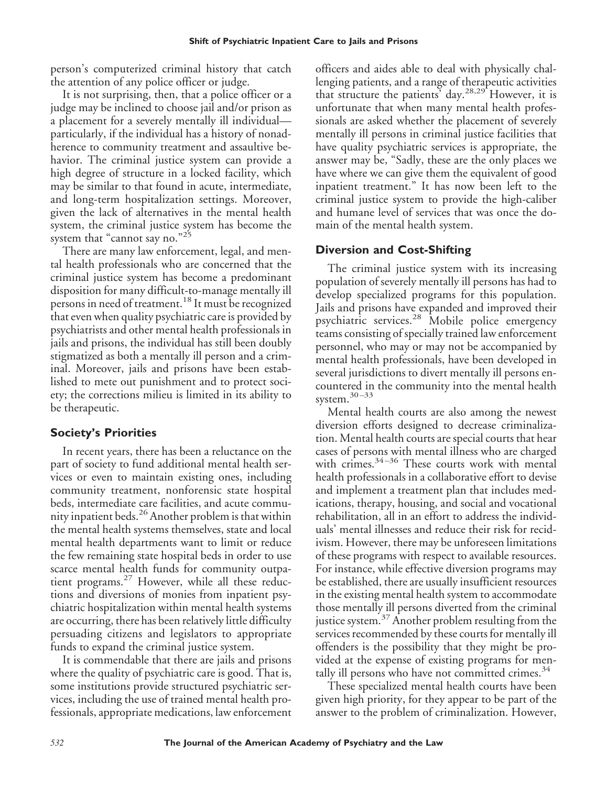person's computerized criminal history that catch the attention of any police officer or judge.

It is not surprising, then, that a police officer or a judge may be inclined to choose jail and/or prison as a placement for a severely mentally ill individual particularly, if the individual has a history of nonadherence to community treatment and assaultive behavior. The criminal justice system can provide a high degree of structure in a locked facility, which may be similar to that found in acute, intermediate, and long-term hospitalization settings. Moreover, given the lack of alternatives in the mental health system, the criminal justice system has become the system that "cannot say no."25

There are many law enforcement, legal, and mental health professionals who are concerned that the criminal justice system has become a predominant disposition for many difficult-to-manage mentally ill persons in need of treatment.<sup>18</sup> It must be recognized that even when quality psychiatric care is provided by psychiatrists and other mental health professionals in jails and prisons, the individual has still been doubly stigmatized as both a mentally ill person and a criminal. Moreover, jails and prisons have been established to mete out punishment and to protect society; the corrections milieu is limited in its ability to be therapeutic.

# **Society's Priorities**

In recent years, there has been a reluctance on the part of society to fund additional mental health services or even to maintain existing ones, including community treatment, nonforensic state hospital beds, intermediate care facilities, and acute community inpatient beds.26Another problem is that within the mental health systems themselves, state and local mental health departments want to limit or reduce the few remaining state hospital beds in order to use scarce mental health funds for community outpatient programs.<sup>27</sup> However, while all these reductions and diversions of monies from inpatient psychiatric hospitalization within mental health systems are occurring, there has been relatively little difficulty persuading citizens and legislators to appropriate funds to expand the criminal justice system.

It is commendable that there are jails and prisons where the quality of psychiatric care is good. That is, some institutions provide structured psychiatric services, including the use of trained mental health professionals, appropriate medications, law enforcement

officers and aides able to deal with physically challenging patients, and a range of therapeutic activities that structure the patients' day.<sup>28,29</sup> However, it is unfortunate that when many mental health professionals are asked whether the placement of severely mentally ill persons in criminal justice facilities that have quality psychiatric services is appropriate, the answer may be, "Sadly, these are the only places we have where we can give them the equivalent of good inpatient treatment." It has now been left to the criminal justice system to provide the high-caliber and humane level of services that was once the domain of the mental health system.

# **Diversion and Cost-Shifting**

The criminal justice system with its increasing population of severely mentally ill persons has had to develop specialized programs for this population. Jails and prisons have expanded and improved their psychiatric services.<sup>28</sup> Mobile police emergency teams consisting of specially trained law enforcement personnel, who may or may not be accompanied by mental health professionals, have been developed in several jurisdictions to divert mentally ill persons encountered in the community into the mental health system.<sup>30-33</sup>

Mental health courts are also among the newest diversion efforts designed to decrease criminalization. Mental health courts are special courts that hear cases of persons with mental illness who are charged with crimes.<sup>34-36</sup> These courts work with mental health professionals in a collaborative effort to devise and implement a treatment plan that includes medications, therapy, housing, and social and vocational rehabilitation, all in an effort to address the individuals' mental illnesses and reduce their risk for recidivism. However, there may be unforeseen limitations of these programs with respect to available resources. For instance, while effective diversion programs may be established, there are usually insufficient resources in the existing mental health system to accommodate those mentally ill persons diverted from the criminal justice system.<sup>37</sup> Another problem resulting from the services recommended by these courts for mentally ill offenders is the possibility that they might be provided at the expense of existing programs for mentally ill persons who have not committed crimes. $34$ 

These specialized mental health courts have been given high priority, for they appear to be part of the answer to the problem of criminalization. However,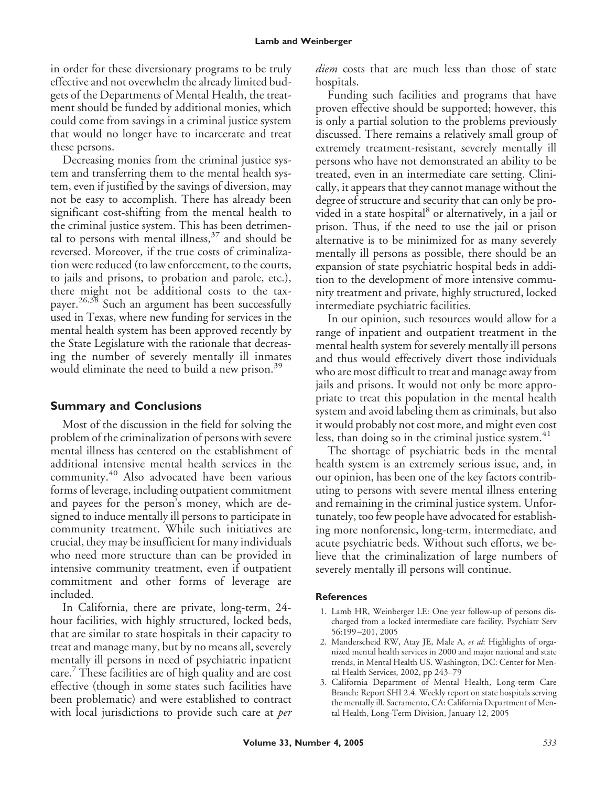in order for these diversionary programs to be truly effective and not overwhelm the already limited budgets of the Departments of Mental Health, the treatment should be funded by additional monies, which could come from savings in a criminal justice system that would no longer have to incarcerate and treat these persons.

Decreasing monies from the criminal justice system and transferring them to the mental health system, even if justified by the savings of diversion, may not be easy to accomplish. There has already been significant cost-shifting from the mental health to the criminal justice system. This has been detrimental to persons with mental illness,  $37$  and should be reversed. Moreover, if the true costs of criminalization were reduced (to law enforcement, to the courts, to jails and prisons, to probation and parole, etc.), there might not be additional costs to the taxpayer.<sup>26,38</sup> Such an argument has been successfully used in Texas, where new funding for services in the mental health system has been approved recently by the State Legislature with the rationale that decreasing the number of severely mentally ill inmates would eliminate the need to build a new prison.<sup>39</sup>

# **Summary and Conclusions**

Most of the discussion in the field for solving the problem of the criminalization of persons with severe mental illness has centered on the establishment of additional intensive mental health services in the community.<sup>40</sup> Also advocated have been various forms of leverage, including outpatient commitment and payees for the person's money, which are designed to induce mentally ill persons to participate in community treatment. While such initiatives are crucial, they may be insufficient for many individuals who need more structure than can be provided in intensive community treatment, even if outpatient commitment and other forms of leverage are included.

In California, there are private, long-term, 24 hour facilities, with highly structured, locked beds, that are similar to state hospitals in their capacity to treat and manage many, but by no means all, severely mentally ill persons in need of psychiatric inpatient care. These facilities are of high quality and are cost effective (though in some states such facilities have been problematic) and were established to contract with local jurisdictions to provide such care at *per*

*diem* costs that are much less than those of state hospitals.

Funding such facilities and programs that have proven effective should be supported; however, this is only a partial solution to the problems previously discussed. There remains a relatively small group of extremely treatment-resistant, severely mentally ill persons who have not demonstrated an ability to be treated, even in an intermediate care setting. Clinically, it appears that they cannot manage without the degree of structure and security that can only be provided in a state hospital<sup>8</sup> or alternatively, in a jail or prison. Thus, if the need to use the jail or prison alternative is to be minimized for as many severely mentally ill persons as possible, there should be an expansion of state psychiatric hospital beds in addition to the development of more intensive community treatment and private, highly structured, locked intermediate psychiatric facilities.

In our opinion, such resources would allow for a range of inpatient and outpatient treatment in the mental health system for severely mentally ill persons and thus would effectively divert those individuals who are most difficult to treat and manage away from jails and prisons. It would not only be more appropriate to treat this population in the mental health system and avoid labeling them as criminals, but also it would probably not cost more, and might even cost less, than doing so in the criminal justice system.<sup>41</sup>

The shortage of psychiatric beds in the mental health system is an extremely serious issue, and, in our opinion, has been one of the key factors contributing to persons with severe mental illness entering and remaining in the criminal justice system. Unfortunately, too few people have advocated for establishing more nonforensic, long-term, intermediate, and acute psychiatric beds. Without such efforts, we believe that the criminalization of large numbers of severely mentally ill persons will continue.

## **References**

- 1. Lamb HR, Weinberger LE: One year follow-up of persons discharged from a locked intermediate care facility. Psychiatr Serv 56:199 –201, 2005
- 2. Manderscheid RW, Atay JE, Male A, *et al*: Highlights of organized mental health services in 2000 and major national and state trends, in Mental Health US. Washington, DC: Center for Mental Health Services, 2002, pp 243–79
- 3. California Department of Mental Health, Long-term Care Branch: Report SHI 2.4. Weekly report on state hospitals serving the mentally ill. Sacramento, CA: California Department of Mental Health, Long-Term Division, January 12, 2005